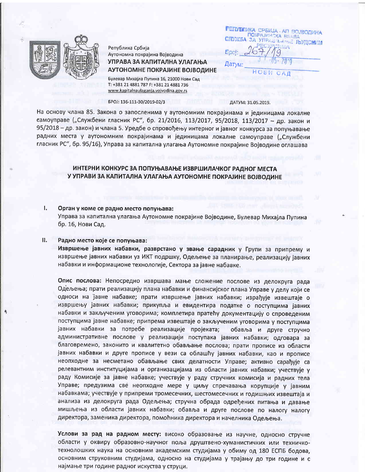

Република Србија Аутономна покрајина Војводина УПРАВА ЗА КАПИТАЛНА УЛАГАЊА АУТОНОМНЕ ПОКРАЈИНЕ ВОЈВОДИНЕ

Булевар Михајла Пупина 16, 21000 Нови Сад T: +381 21 4881 787 F: +381 21 4881 736 www.kapitalnaulaganja.vojvodina.gov.rs

# EPOJ: 136-111-30/2019-02/3

РЕГОВЛИКА СРБИЈА - АП ВОЈВОДИНА<br>ПОКРАЈИНСКА ВЛАДА СЛУЖБА ЗА УПРАВЪЕ НА ПЬУДСКИМ **Fill** O Датум: **HOBW** 

 $C A I$ 

ДАТУМ: 31.05.2019.

На основу члана 85. Закона о запосленима у аутономним покрајинама и јединицама локалне самоуправе ("Службени гласник РС", бр. 21/2016, 113/2017, 95/2018, 113/2017 - др. закон и 95/2018 - др. закон) и члана 5. Уредбе о спровођењу интерног и јавног конкурса за попуњавање радних места у аутономним покрајинама и јединицама локалне самоуправе ("Службени гласник РС", бр. 95/16), Управа за капитална улагања Аутономне покрајине Војводине оглашава

# ИНТЕРНИ КОНКУРС ЗА ПОПУЊАВАЊЕ ИЗВРШИЛАЧКОГ РАДНОГ МЕСТА У УПРАВИ ЗА КАПИТАЛНА УЛАГАЊА АУТОНОМНЕ ПОКРАЈИНЕ ВОЈВОДИНЕ

#### $\mathbf{L}$ Орган у коме се радно место попуњава:

Управа за капитална улагања Аутономне покрајине Војводине, Булевар Михајла Пупина бр. 16, Нови Сад.

#### $\mathbf{u}$ . Радно место које се попуњава:

Извршење јавних набавки, разврстано у звање сарадник у Групи за припрему и извршење јавних набавки уз ИКТ подршку, Одељење за планирање, реализацију јавних набавки и информационе технологије, Сектора за јавне набавке.

Опис послова: Непосредно извршава мање сложение послове из делокруга рада Одељења; прати реализацију плана набавки и финансијског плана Управе у делу који се односи на јавне набавке; прати извршење јавних набавки; израђује извештаје о извршењу јавних набавки; прикупља и евидентира податке о поступцима јавних набавки и закљученим уговорима; комплетира пратећу документацију о спроведеним поступцима јавне набавке; припрема извештаје о закљученим уговорима у поступцима јавних набавки за потребе реализације пројеката; обавља и друге стручно административне послове у реализацији поступака јавних набавки; одговара за благовремено, законито и квалитетно обављање послова; прати прописе из области јавних набавки и друге прописе у вези са облашћу јавних набавки, као и прописе неопходне за несметано обављање свих делатности Управе; активно сарађује са релевантним институцијама и организацијама из области јавних набавки; учествује у раду Комисије за јавне набавке; учествује у раду стручних комисија и радних тела Управе; предузима све неопходне мере у циљу спречавања корупције у јавним набавкама; учествује у припреми тромесечних, шестомесечних и годишњих извештаја и анализа из делокруга рада Одељења; стручна обрада одређених питања и давање мишљења из области јавних набавки; обавља и друге послове по налогу налогу директора, заменика директора, помоћника директора и начелника Одељења.

Услови за рад на радном месту: високо образовање из научне, односно стручне области у оквиру образовно-научног поља друштвено-хуманистичких или техничкотехнолошких наука на основним академским студијама у обиму од 180 ЕСПБ бодова, основним струковним студијама, односно на студијама у трајању до три године и с најмање три године радног искуства у струци.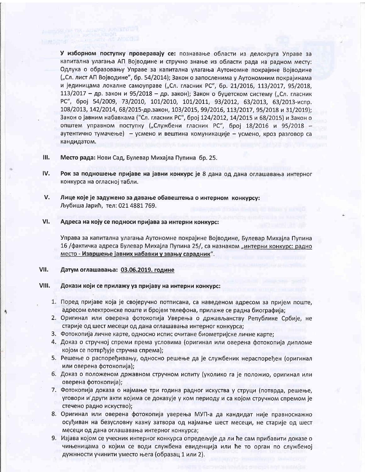У изборном поступку проверавају се: познавање области из делокруга Управе за капитална улагања АП Војводине и стручно знање из области рада на радном месту: Одлука о образовању Управе за капитална улагања Аутономне покрајине Војводине ("Сл. лист АП Војводине", бр. 54/2014); Закон о запосленима у Аутономним покрајинама и јединицама локалне самоуправе ("Сл. гласник РС", бр. 21/2016, 113/2017, 95/2018, 113/2017 - др. закон и 95/2018 - др. закон); Закон о буџетском систему ("Сл. гласник РС", број 54/2009, 73/2010, 101/2010, 101/2011, 93/2012, 63/2013, 63/2013-испр. 108/2013, 142/2014, 68/2015-др.закон, 103/2015, 99/2016, 113/2017, 95/2018 и 31/2019); Закон о јавним набавкама ("Сл. гласник РС", број 124/2012, 14/2015 и 68/2015) и Закон о општем управном поступку ("Службени гласник РС", број 18/2016 и 95/2018 аутентично тумачење) - усмено и вештина комуникације - усмено, кроз разговор са кандидатом.

- $III.$ Место рада: Нови Сад, Булевар Михајла Пупина бр. 25.
- IV. Рок за подношење пријаве на јавни конкурс је 8 дана од дана оглашавања интерног конкурса на огласној табли.
- V. Лице које је задужено за давање обавештења о интерном конкурсу: Љубиша Јарић, тел: 021 4881 769.
- VI. Адреса на коју се подноси пријава за интерни конкурс:

Управа за капитална улагања Аутономне покрајине Војводине, Булевар Михајла Пупина 16 / фактичка адреса Булевар Михајла Пупина 25/, са назнаком "интерни конкурс: радно место - Извршење јавних набавки у звању сарадник".

#### VII. Датум оглашавања: 03.06.2019. године

### VIII. Докази који се прилажу уз пријаву на интерни конкурс:

- 1. Поред пријаве која је својеручно потписана, са наведеном адресом за пријем поште, адресом електронске поште и бројем телефона, прилаже се радна биографија;
- 2. Оригинал или оверена фотокопија Уверења о држављанству Републике Србије, не старије од шест месеци од дана оглашавања интерног конкурса;
- 3. Фотокопија личне карте, односно испис очитане биометријске личне карте;
- 4. Доказ о стручној спреми према условима (оригинал или оверена фотокопија дипломе којом се потврђује стручна спрема);
- 5. Решење о распоређивању, односно решење да је службеник нераспоређен (оригинал или оверена фотокопија);
- 6. Доказ о положеном државном стручном испиту (уколико га је положио, оригинал или оверена фотокопија);
- 7. Фотокопија доказа о најмање три година радног искуства у струци (потврда, решење, уговори и други акти којима се доказује у ком периоду и са којом стручном спремом је стечено радно искуство);
- 8. Оригинал или оверена фотокопија уверења МУП-а да кандидат није правноснажно осуђиван на безусловну казну затвора од најмање шест месеци, не старије од шест месеци од дана оглашавања интерног конкурса;
- 9. Изјава којом се учесник интерног конкурса опредељује да ли ће сам прибавити доказе о чињеницама о којим се води службена евиденција или ће то орган по службеној дужнности учинити уместо њега (образац 1 или 2).